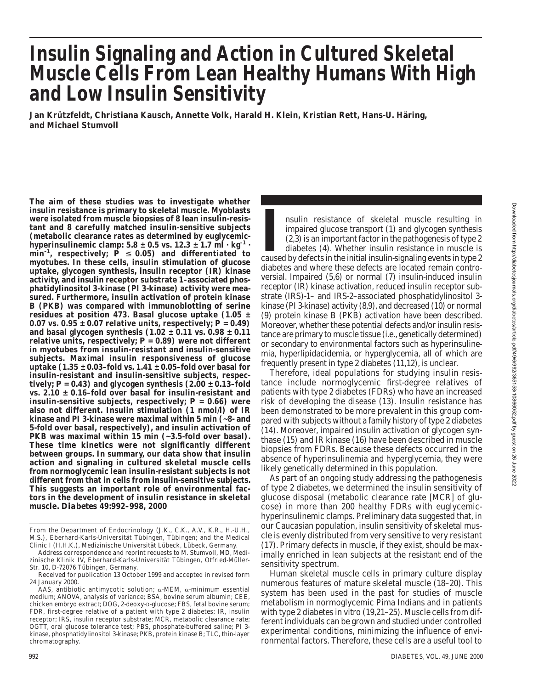# **Insulin Signaling and Action in Cultured Skeletal Muscle Cells From Lean Healthy Humans With High and Low Insulin Sensitivity**

**Jan Krützfeldt, Christiana Kausch, Annette Volk, Harald H. Klein, Kristian Rett, Hans-U. Häring, and Michael Stumvoll**

**The aim of these studies was to investigate whether insulin resistance is primary to skeletal muscle. Myoblasts were isolated from muscle biopsies of 8 lean insulin-resistant and 8 carefully matched insulin-sensitive subjects (metabolic clearance rates as determined by euglycemic**hyperinsulinemic clamp:  $5.8 \pm 0.5$  vs.  $12.3 \pm 1.7$  ml  $\cdot$  kg<sup>-1</sup>  $\cdot$  $\min^{-1}$ , respectively;  $\vec{P} \leq 0.05$ ) and differentiated to **myotubes. In these cells, insulin stimulation of glucose uptake, glycogen synthesis, insulin receptor (IR) kinase activity, and insulin receptor substrate 1–associated phosphatidylinositol 3-kinase (PI 3-kinase) activity were measured. Furthermore, insulin activation of protein kinase B (PKB) was compared with immunoblotting of serine residues at position 473. Basal glucose uptake (1.05 ±** 0.07 vs.  $0.95 \pm 0.07$  relative units, respectively;  $P = 0.49$ ) **and basal glycogen synthesis (1.02 ± 0.11 vs. 0.98 ± 0.11 relative units, respectively;** *P* **= 0.89) were not different in myotubes from insulin-resistant and insulin-sensitive subjects. Maximal insulin responsiveness of glucose uptake (1.35 ± 0.03–fold vs. 1.41 ± 0.05–fold over basal for insulin-resistant and insulin-sensitive subjects, respec**tively;  $P = 0.43$ ) and glycogen synthesis  $(2.00 \pm 0.13 - \text{fold})$ **vs. 2.10 ± 0.16–fold over basal for insulin-resistant and insulin-sensitive subjects, respectively;** *P* **= 0.66) were also not different. Insulin stimulation (1 nmol/l) of IR kinase and PI 3-kinase were maximal within 5 min (~8- and 5-fold over basal, respectively), and insulin activation of PKB was maximal within 15 min (~3.5-fold over basal). These time kinetics were not significantly different between groups. In summary, our data show that insulin action and signaling in cultured skeletal muscle cells from normoglycemic lean insulin-resistant subjects is not different from that in cells from insulin-sensitive subjects. This suggests an important role of environmental factors in the development of insulin resistance in skeletal muscle.** *Diabetes* **49:992–998, 2000**

**II** impaired glucose transport (1) and glycogen synthesis (2,3) is an important factor in the pathogenesis of type 2 diabetes (4). Whether insulin resistance in muscle is caused by defects in the initial insulin-signaling nsulin resistance of skeletal muscle resulting in impaired glucose transport (1) and glycogen synthesis (2,3) is an important factor in the pathogenesis of type 2 diabetes (4). Whether insulin resistance in muscle is diabetes and where these defects are located remain controversial. Impaired (5,6) or normal (7) insulin-induced insulin receptor (IR) kinase activation, reduced insulin receptor substrate (IRS)-1– and IRS-2–associated phosphatidylinositol 3 kinase (PI 3-kinase) activity (8,9), and decreased (10) or normal (9) protein kinase B (PKB) activation have been described. Moreover, whether these potential defects and/or insulin resistance are primary to muscle tissue (i.e., genetically determined) or secondary to environmental factors such as hyperinsulinemia, hyperlipidacidemia, or hyperglycemia, all of which are frequently present in type 2 diabetes (11,12), is unclear.

Therefore, ideal populations for studying insulin resistance include normoglycemic first-degree relatives of patients with type 2 diabetes (FDRs) who have an increased risk of developing the disease (13). Insulin resistance has been demonstrated to be more prevalent in this group compared with subjects without a family history of type 2 diabetes (14). Moreover, impaired insulin activation of glycogen synthase (15) and IR kinase (16) have been described in muscle biopsies from FDRs. Because these defects occurred in the absence of hyperinsulinemia and hyperglycemia, they were likely genetically determined in this population.

As part of an ongoing study addressing the pathogenesis of type 2 diabetes, we determined the insulin sensitivity of glucose disposal (metabolic clearance rate [MCR] of glucose) in more than 200 healthy FDRs with euglycemichyperinsulinemic clamps. Preliminary data suggested that, in our Caucasian population, insulin sensitivity of skeletal muscle is evenly distributed from very sensitive to very resistant (17). Primary defects in muscle, if they exist, should be maximally enriched in lean subjects at the resistant end of the sensitivity spectrum.

Human skeletal muscle cells in primary culture display numerous features of mature skeletal muscle (18–20). This system has been used in the past for studies of muscle metabolism in normoglycemic Pima Indians and in patients with type 2 diabetes in vitro (19,21–25). Muscle cells from different individuals can be grown and studied under controlled experimental conditions, minimizing the influence of environmental factors. Therefore, these cells are a useful tool to

From the Department of Endocrinology (J.K., C.K., A.V., K.R., H.-U.H., M.S.), Eberhard-Karls-Universität Tübingen, Tübingen; and the Medical Clinic I (H.H.K.), Medizinische Universität Lübeck, Lübeck, Germany.

Address correspondence and reprint requests to M. Stumvoll, MD, Medizinische Klinik IV, Eberhard-Karls-Universität Tübingen, Otfried-Müller-Str. 10, D-72076 Tübingen, Germany.

Received for publication 13 October 1999 and accepted in revised form 24 January 2000.

AAS, antibiotic antimycotic solution; a-MEM, a-minimum essential medium; ANOVA, analysis of variance; BSA, bovine serum albumin; CEE, chicken embryo extract; DOG, 2-deoxy-D-glucose; FBS, fetal bovine serum; FDR, first-degree relative of a patient with type 2 diabetes; IR, insulin receptor; IRS, insulin receptor substrate; MCR, metabolic clearance rate; OGTT, oral glucose tolerance test; PBS, phosphate-buffered saline; PI 3 kinase, phosphatidylinositol 3-kinase; PKB, protein kinase B; TLC, thin-layer chromatography.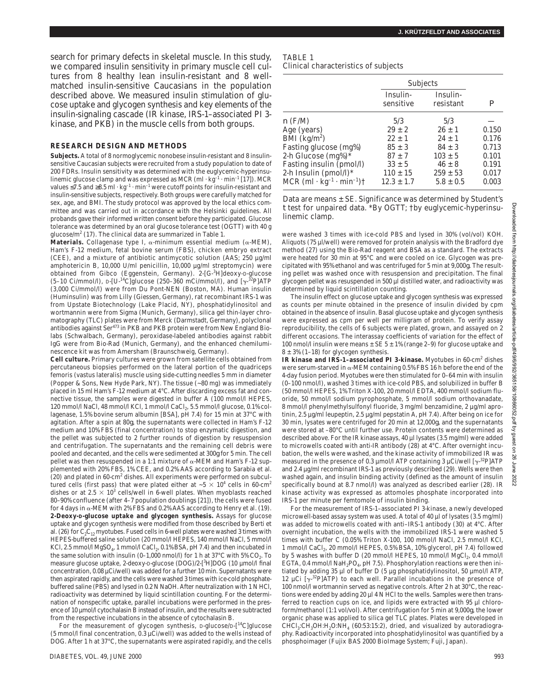search for primary defects in skeletal muscle. In this study, we compared insulin sensitivity in primary muscle cell cultures from 8 healthy lean insulin-resistant and 8 wellmatched insulin-sensitive Caucasians in the population described above. We measured insulin stimulation of glucose uptake and glycogen synthesis and key elements of the insulin-signaling cascade (IR kinase, IRS-1–associated PI 3 kinase, and PKB) in the muscle cells from both groups.

#### **RESEARCH DESIGN AND METHODS**

**Subjects.** A total of 8 normoglycemic nonobese insulin-resistant and 8 insulinsensitive Caucasian subjects were recruited from a study population to date of 200 FDRs. Insulin sensitivity was determined with the euglycemic-hyperinsulinemic glucose clamp and was expressed as MCR (ml  $\cdot$  kg<sup>-1</sup>  $\cdot$  min<sup>-1</sup> [17]). MCR values  $\leq$ 7.5 and  $\geq$ 8.5 ml · kg<sup>-1</sup> · min<sup>-1</sup> were cutoff points for insulin-resistant and insulin-sensitive subjects, respectively. Both groups were carefully matched for sex, age, and BMI. The study protocol was approved by the local ethics committee and was carried out in accordance with the Helsinki guidelines. All probands gave their informed written consent before they participated. Glucose tolerance was determined by an oral glucose tolerance test (OGTT) with 40 g glucose/m<sup>2</sup> (17). The clinical data are summarized in Table 1.

**Materials.** Collagenase type I,  $\alpha$ -minimum essential medium ( $\alpha$ -MEM), Ham's F-12 medium, fetal bovine serum (FBS), chicken embryo extract (CEE), and a mixture of antibiotic antimycotic solution (AAS; 250 µg/ml amphotericin B, 10,000 U/ml penicillin, 10,000 µg/ml streptomycin) were obtained from Gibco (Eggenstein, Germany). 2-[G-3H]deoxy-D-glucose  $(5-10 \text{ Ci/mmol/l})$ , D-[U-<sup>14</sup>C]glucose  $(250-360 \text{ mCi/mmol/l})$ , and  $[\gamma^{-32}P]ATP$ (3,000 Ci/mmol/l) were from Du Pont-NEN (Boston, MA). Human insulin (Huminsulin) was from Lilly (Giessen, Germany), rat recombinant IRS-1 was from Upstate Biotechnology (Lake Placid, NY), phosphatidylinositol and wortmannin were from Sigma (Munich, Germany), silica gel thin-layer chromatography (TLC) plates were from Merck (Darmstadt, Germany), polyclonal antibodies against Ser<sup>473</sup> in PKB and PKB protein were from New England Biolabs (Schwalbach, Germany), peroxidase-labeled antibodies against rabbit IgG were from Bio-Rad (Munich, Germany), and the enhanced chemiluminescence kit was from Amersham (Braunschweig, Germany).

**Cell culture.** Primary cultures were grown from satellite cells obtained from percutaneous biopsies performed on the lateral portion of the quadriceps femoris (vastus lateralis) muscle using side-cutting needles 5 mm in diameter (Popper & Sons, New Hyde Park, NY). The tissue (~80 mg) was immediately placed in 15 ml Ham's F-12 medium at 4°C. After discarding excess fat and connective tissue, the samples were digested in buffer A (100 mmol/l HEPES, 120 mmol/l NaCl, 48 mmol/l KCl, 1 mmol/l CaCl<sub>2</sub>, 5.5 mmol/l glucose, 0.1% collagenase, 1.5% bovine serum albumin [BSA], pH 7.4) for 15 min at 37°C with agitation. After a spin at 80*g*, the supernatants were collected in Ham's F-12 medium and 10% FBS (final concentration) to stop enzymatic digestion, and the pellet was subjected to 2 further rounds of digestion by resuspension and centrifugation. The supernatants and the remaining cell debris were pooled and decanted, and the cells were sedimented at 300*g* for 5 min. The cell pellet was then resuspended in a 1:1 mixture of  $\alpha$ -MEM and Ham's F-12 supplemented with 20% FBS, 1% CEE, and 0.2% AAS according to Sarabia et al. (20) and plated in 60-cm<sup>2</sup> dishes. All experiments were performed on subcultured cells (first pass) that were plated either at  $\sim 5 \times 10^4$  cells in 60-cm<sup>2</sup> dishes or at  $2.5 \times 10^3$  cells/well in 6-well plates. When myoblasts reached 80–90% confluence (after 4–7 population doublings [21]), the cells were fused for 4 days in  $\alpha$  -MEM with 2% FBS and 0.2% AAS according to Henry et al. (19). **2-Deoxy-D-glucose uptake and glycogen synthesis.** Assays for glucose uptake and glycogen synthesis were modified from those described by Berti et al. (26) for  $C_2C_{12}$  myotubes. Fused cells in 6-well plates were washed 3 times with HEPES-buffered saline solution (20 mmol/l HEPES, 140 mmol/l NaCl, 5 mmol/l KCl, 2.5 mmol/l MgSO<sub>4</sub>, 1 mmol/l CaCl<sub>2</sub>, 0.1% BSA, pH 7.4) and then incubated in the same solution with insulin (0–1,000 nmol/l) for 1 h at 37°C with 5%  $CO_2$ . To measure glucose uptake, 2-deoxy-D-glucose (DOG)/2-[<sup>3</sup>H]DOG (10 µmol/l final concentration, 0.08 µCi/well) was added for a further 10 min. Supernatants were then aspirated rapidly, and the cells were washed 3 times with ice-cold phosphatebuffered saline (PBS) and lysed in 0.2 N NaOH. After neutralization with 1 N HCl, radioactivity was determined by liquid scintillation counting. For the determination of nonspecific uptake, parallel incubations were performed in the presence of 10 µmol/l cytochalasin B instead of insulin, and the results were subtracted from the respective incubations in the absence of cytochalasin B.

For the measurement of glycogen synthesis, D-glucose/D-[<sup>14</sup>C]glucose (5 mmol/l final concentration, 0.3 µCi/well) was added to the wells instead of DOG. After 1 h at 37°C, the supernatants were aspirated rapidly, and the cells

| <b>TABLE 1</b>                       |  |
|--------------------------------------|--|
| Clinical characteristics of subjects |  |

Subjects Insulin- Insulinsensitive resistant *P n* (F/M) 5/3 5/3 Age (years)  $29 \pm 2$   $26 \pm 1$   $0.150$ <br>BMI (kg/m<sup>2</sup>)  $22 \pm 1$   $24 \pm 1$   $0.176$  $\tilde{\text{BMI}}$  (kg/m<sup>2</sup>)  $24 \pm 1$  0.176 Fasting glucose (mg%)  $85 \pm 3$   $84 \pm 3$  0.713 2-h Glucose  $(mg\%)^*$  87 ± 7 103 ± 5 0.101 Fasting insulin (pmol/l)  $33 \pm 5$   $46 \pm 8$  0.191 2-h Insulin (pmol/l)\*  $110 \pm 15$   $259 \pm 53$  0.017<br>MCR (ml · kg<sup>-1</sup> · min<sup>-1</sup>)†  $12.3 \pm 1.7$   $5.8 \pm 0.5$  0.003 MCR  $(ml \cdot kg^{-1} \cdot min^{-1})$   $\uparrow$  12.3  $\pm$  1.7 5.8  $\pm$  0.5 0.003

Data are means  $\pm$  SE. Significance was determined by Student's *t* test for unpaired data. \*By OGTT; †by euglycemic-hyperinsulinemic clamp.

were washed 3 times with ice-cold PBS and lysed in 30% (vol/vol) KOH. Aliquots (75 µl/well) were removed for protein analysis with the Bradford dye method (27) using the Bio-Rad reagent and BSA as a standard. The extracts were heated for 30 min at 95°C and were cooled on ice. Glycogen was precipitated with 95% ethanol and was centrifuged for 5 min at 9,000*g*. The resulting pellet was washed once with resuspension and precipitation. The final glycogen pellet was resuspended in 500 µl distilled water, and radioactivity was determined by liquid scintillation counting.

The insulin effect on glucose uptake and glycogen synthesis was expressed as counts per minute obtained in the presence of insulin divided by cpm obtained in the absence of insulin. Basal glucose uptake and glycogen synthesis were expressed as cpm per well per milligram of protein. To verify assay reproducibility, the cells of 6 subjects were plated, grown, and assayed on 2 different occasions. The interassay coefficients of variation for the effect of 100 nmol/l insulin were means  $\pm$  SE 5  $\pm$  1% (range 2–9) for glucose uptake and  $8 \pm 3\%$  (1-18) for glycogen synthesis.

**IR kinase and IRS-1–associated PI 3-kinase.** Myotubes in 60-cm<sup>2</sup> dishes were serum-starved in  $\alpha$ -MEM containing 0.5% FBS 16 h before the end of the 4-day fusion period. Myotubes were then stimulated for 0–64 min with insulin (0–100 nmol/l), washed 3 times with ice-cold PBS, and solubilized in buffer B (50 mmol/l HEPES, 1% Triton X-100, 20 mmol/l EDTA, 400 mmol/l sodium fluoride, 50 mmol/l sodium pyrophosphate, 5 mmol/l sodium orthovanadate, 8 mmol/l phenylmethylsulfonyl fluoride, 3 mg/ml benzamidine, 2 µg/ml aprotinin, 2.5 µg/ml leupeptin, 2.5 µg/ml pepstatin A, pH 7.4). After being on ice for 30 min, lysates were centrifuged for 20 min at 12,000*g*, and the supernatants were stored at –80°C until further use. Protein contents were determined as described above. For the IR kinase assays, 40 µl lysates (3.5 mg/ml) were added to microwells coated with anti-IR antibody (28) at 4°C. After overnight incubation, the wells were washed, and the kinase activity of immobilized IR was measured in the presence of 0.3  $\mu$ mol/l ATP containing 3  $\mu$ Ci/well [ $\gamma$ <sup>-32</sup>P]ATP and 2.4 µg/ml recombinant IRS-1 as previously described (29). Wells were then washed again, and insulin binding activity (defined as the amount of insulin specifically bound at 8.7 nmol/l) was analyzed as described earlier (28). IR kinase activity was expressed as attomoles phosphate incorporated into IRS-1 per minute per femtomole of insulin binding.

For the measurement of IRS-1–associated PI 3-kinase, a newly developed microwell-based assay system was used. A total of 40 µl of lysates (3.5 mg/ml) was added to microwells coated with anti–IRS-1 antibody (30) at 4°C. After overnight incubation, the wells with the immobilized IRS-1 were washed 5 times with buffer C (0.05% Triton X-100, 100 mmol/l NaCl, 2.5 mmol/l KCl, 1 mmol/l CaCl<sub>2</sub>, 20 mmol/l HEPES, 0.5% BSA, 10% glycerol, pH 7.4) followed by 5 washes with buffer D (20 mmol/l HEPES, 10 mmol/l MgCl<sub>2</sub>, 0.4 mmol/l EGTA, 0.4 mmol/l NaH<sub>2</sub>PO<sub>4</sub>, pH 7.5). Phosphorylation reactions were then initiated by adding 35 µl of buffer D (5 µg phosphatidylinositol, 50 µmol/l ATP, 12 µCi  $[\gamma^{32}P]$ ATP) to each well. Parallel incubations in the presence of 100 nmol/l wortmannin served as negative controls. After 2 h at 30°C, the reactions were ended by adding 20  $\mu$ l 4 N HCl to the wells. Samples were then transferred to reaction cups on ice, and lipids were extracted with 95 µl chloroform/methanol (1:1 vol/vol). After centrifugation for 5 min at 9,000*g*, the lower organic phase was applied to silica gel TLC plates. Plates were developed in  $CHCl<sub>3</sub>:CH<sub>3</sub>OH:H<sub>2</sub>O:NH<sub>4</sub>$  (60:53:15:2), dried, and visualized by autoradiography. Radioactivity incorporated into phosphatidylinositol was quantified by a phosphoimager (Fujix BAS 2000 BioImage System; Fuji, Japan).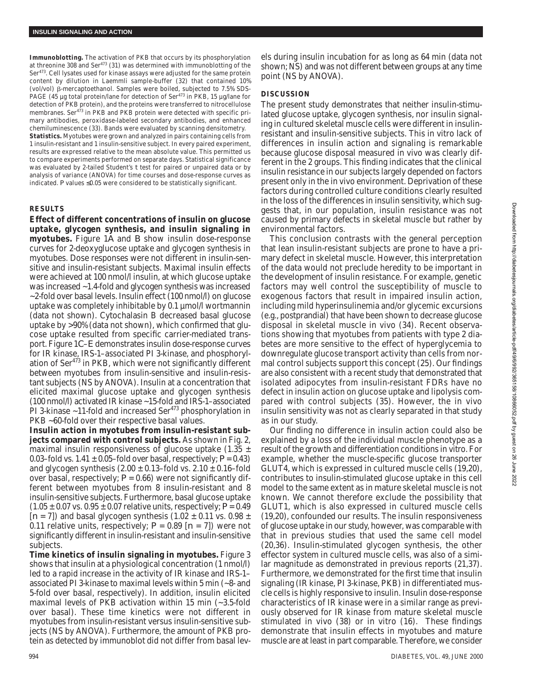**Immunoblotting.** The activation of PKB that occurs by its phosphorylation at threonine 308 and Ser<sup>473</sup> (31) was determined with immunoblotting of the Ser473. Cell lysates used for kinase assays were adjusted for the same protein content by dilution in Laemmli sample-buffer (32) that contained 10% (vol/vol)  $\beta$ -mercaptoethanol. Samples were boiled, subjected to 7.5% SDS-PAGE (45 µg total protein/lane for detection of Ser<sup>473</sup> in PKB, 15 µg/lane for detection of PKB protein), and the proteins were transferred to nitrocellulose membranes. Ser $4^{73}$  in PKB and PKB protein were detected with specific primary antibodies, peroxidase-labeled secondary antibodies, and enhanced chemiluminescence (33). Bands were evaluated by scanning densitometry. **Statistics.** Myotubes were grown and analyzed in pairs containing cells from 1 insulin-resistant and 1 insulin-sensitive subject. In every paired experiment, results are expressed relative to the mean absolute value. This permitted us to compare experiments performed on separate days. Statistical significance was evaluated by 2-tailed Student's *t* test for paired or unpaired data or by analysis of variance (ANOVA) for time courses and dose-response curves as indicated.  $P$  values  $\leq 0.05$  were considered to be statistically significant.

### **RESULTS**

**Effect of different concentrations of insulin on glucose uptake, glycogen synthesis, and insulin signaling in myotubes.** Figure 1*A* and *B* show insulin dose-response curves for 2-deoxyglucose uptake and glycogen synthesis in myotubes. Dose responses were not different in insulin-sensitive and insulin-resistant subjects. Maximal insulin effects were achieved at 100 nmol/l insulin, at which glucose uptake was increased ~1.4-fold and glycogen synthesis was increased ~2-fold over basal levels. Insulin effect (100 nmol/l) on glucose uptake was completely inhibitable by 0.1 µmol/l wortmannin (data not shown). Cytochalasin B decreased basal glucose uptake by >90% (data not shown), which confirmed that glucose uptake resulted from specific carrier-mediated transport. Figure 1*C*–*E* demonstrates insulin dose-response curves for IR kinase, IRS-1–associated PI 3-kinase, and phosphorylation of Ser<sup>473</sup> in PKB, which were not significantly different between myotubes from insulin-sensitive and insulin-resistant subjects (NS by ANOVA). Insulin at a concentration that elicited maximal glucose uptake and glycogen synthesis (100 nmol/l) activated IR kinase ~15-fold and IRS-1–associated PI 3-kinase  $\sim$ 11-fold and increased Ser<sup>473</sup> phosphorylation in PKB ~60-fold over their respective basal values.

**Insulin action in myotubes from insulin-resistant subjects compared with control subjects.** As shown in Fig. 2, maximal insulin responsiveness of glucose uptake (1.35  $\pm$ 0.03–fold vs.  $1.41 \pm 0.05$ –fold over basal, respectively;  $P = 0.43$ ) and glycogen synthesis  $(2.00 \pm 0.13$ –fold vs.  $2.10 \pm 0.16$ –fold over basal, respectively;  $P = 0.66$ ) were not significantly different between myotubes from 8 insulin-resistant and 8 insulin-sensitive subjects. Furthermore, basal glucose uptake  $(1.05 \pm 0.07 \text{ vs. } 0.95 \pm 0.07 \text{ relative units, respectively}; P = 0.49$  $[n = 7]$ ) and basal glycogen synthesis  $(1.02 \pm 0.11 \text{ vs. } 0.98 \pm 0.11 \text{ vs. } 0.09 \pm 0.01 \text{ vs. } 0.09 \pm 0.01 \text{ vs. } 0.09 \pm 0.01 \text{ vs. } 0.09 \pm 0.01 \text{ vs. } 0.09 \pm 0.01 \text{ vs. } 0.09 \pm 0.01 \text{ vs. } 0.09 \pm 0.01 \text{ vs. } 0.09 \pm 0.01 \text{ vs. } 0$ 0.11 relative units, respectively;  $P = 0.89$  [ $n = 7$ ]) were not significantly different in insulin-resistant and insulin-sensitive subjects.

**Time kinetics of insulin signaling in myotubes.** Figure 3 shows that insulin at a physiological concentration (1 nmol/l) led to a rapid increase in the activity of IR kinase and IRS-1– associated PI 3-kinase to maximal levels within 5 min (~8- and 5-fold over basal, respectively). In addition, insulin elicited maximal levels of PKB activation within 15 min (~3.5-fold over basal). These time kinetics were not different in myotubes from insulin-resistant versus insulin-sensitive subjects (NS by ANOVA). Furthermore, the amount of PKB protein as detected by immunoblot did not differ from basal lev-

els during insulin incubation for as long as 64 min (data not shown; NS) and was not different between groups at any time point (NS by ANOVA).

# **DISCUSSION**

The present study demonstrates that neither insulin-stimulated glucose uptake, glycogen synthesis, nor insulin signaling in cultured skeletal muscle cells were different in insulinresistant and insulin-sensitive subjects. This in vitro lack of differences in insulin action and signaling is remarkable because glucose disposal measured in vivo was clearly different in the 2 groups. This finding indicates that the clinical insulin resistance in our subjects largely depended on factors present only in the in vivo environment. Deprivation of these factors during controlled culture conditions clearly resulted in the loss of the differences in insulin sensitivity, which suggests that, in our population, insulin resistance was not caused by primary defects in skeletal muscle but rather by environmental factors.

This conclusion contrasts with the general perception that lean insulin-resistant subjects are prone to have a primary defect in skeletal muscle. However, this interpretation of the data would not preclude heredity to be important in the development of insulin resistance. For example, genetic factors may well control the susceptibility of muscle to exogenous factors that result in impaired insulin action, including mild hyperinsulinemia and/or glycemic excursions (e.g., postprandial) that have been shown to decrease glucose disposal in skeletal muscle in vivo (34). Recent observations showing that myotubes from patients with type 2 diabetes are more sensitive to the effect of hyperglycemia to downregulate glucose transport activity than cells from normal control subjects support this concept (25). Our findings are also consistent with a recent study that demonstrated that isolated adipocytes from insulin-resistant FDRs have no defect in insulin action on glucose uptake and lipolysis compared with control subjects (35). However, the in vivo insulin sensitivity was not as clearly separated in that study as in our study.

Our finding no difference in insulin action could also be explained by a loss of the individual muscle phenotype as a result of the growth and differentiation conditions in vitro. For example, whether the muscle-specific glucose transporter GLUT4, which is expressed in cultured muscle cells (19,20), contributes to insulin-stimulated glucose uptake in this cell model to the same extent as in mature skeletal muscle is not known. We cannot therefore exclude the possibility that GLUT1, which is also expressed in cultured muscle cells (19,20), confounded our results. The insulin responsiveness of glucose uptake in our study, however, was comparable with that in previous studies that used the same cell model (20,36). Insulin-stimulated glycogen synthesis, the other effector system in cultured muscle cells, was also of a similar magnitude as demonstrated in previous reports (21,37). Furthermore, we demonstrated for the first time that insulin signaling (IR kinase, PI 3-kinase, PKB) in differentiated muscle cells is highly responsive to insulin. Insulin dose-response characteristics of IR kinase were in a similar range as previously observed for IR kinase from mature skeletal muscle stimulated in vivo (38) or in vitro (16). These findings demonstrate that insulin effects in myotubes and mature muscle are at least in part comparable. Therefore, we consider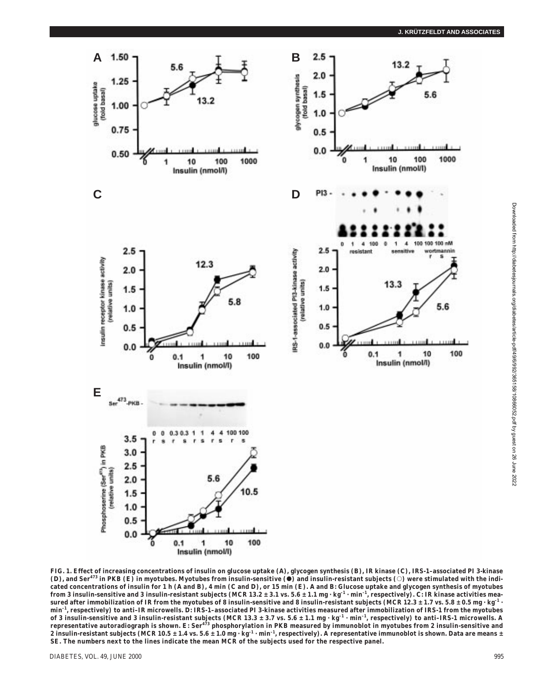

**FIG. 1. Effect of increasing concentrations of insulin on glucose uptake (***A***), glycogen synthesis (***B***), IR kinase (***C***), IRS-1–associated PI 3-kinase**  $(D)$ , and Ser<sup>473</sup> in PKB (E) in myotubes. Myotubes from insulin-sensitive ( $\bullet$ ) and insulin-resistant subjects ( $\circ$ ) were stimulated with the indicated concentrations of insulin for 1 h (A and B), 4 min (C and D), or 15 min (E). A and B: Glucose uptake and glycogen synthesis of myotubes from 3 insulin-sensitive and 3 insulin-resistant subjects (MCR 13.2 ± 3.1 vs. 5.6 ± 1.1 mg · kg<sup>-1</sup> · min<sup>-1</sup>, respectively). C IR kinase activities mea**sured after immobilization of IR from the myotubes of 8 insulin-sensitive and 8 insulin-resistant subjects (MCR 12.3 ± 1.7 vs. 5.8 ± 0.5 mg · kg–1 · min–1, respectively) to anti–IR microwells.** *D***: IRS-1–associated PI 3-kinase activities measured after immobilization of IRS-1 from the myotubes of 3 insulin-sensitive and 3 insulin-resistant subjects (MCR 13.3 ± 3.7 vs. 5.6 ± 1.1 mg · kg–1 · min–1, respectively) to anti–IRS-1 microwells. A representative autoradiograph is shown.** *E***: Ser<sup>473</sup> phosphorylation in PKB measured by immunoblot in myotubes from 2 insulin-sensitive and** 2 insulin-resistant subjects (MCR 10.5 ± 1.4 vs. 5.6 ± 1.0 mg · kg<sup>-1</sup> · min<sup>-1</sup>, respectively). A representative immunoblot is shown. Data are means ± **SE. The numbers next to the lines indicate the mean MCR of the subjects used for the respective panel.**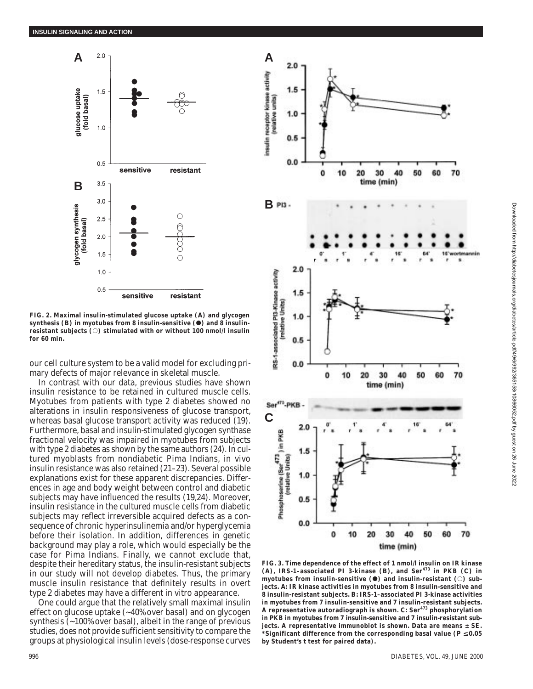

**FIG. 2. Maximal insulin-stimulated glucose uptake (***A***) and glycogen synthesis (***B***) in myotubes from 8 insulin-sensitive (**d**) and 8 insulin**resistant subjects ( $\circ$ ) stimulated with or without 100 nmol/l insulin **for 60 min.**

our cell culture system to be a valid model for excluding primary defects of major relevance in skeletal muscle.

In contrast with our data, previous studies have shown insulin resistance to be retained in cultured muscle cells. Myotubes from patients with type 2 diabetes showed no alterations in insulin responsiveness of glucose transport, whereas basal glucose transport activity was reduced (19). Furthermore, basal and insulin-stimulated glycogen synthase fractional velocity was impaired in myotubes from subjects with type 2 diabetes as shown by the same authors (24). In cultured myoblasts from nondiabetic Pima Indians, in vivo insulin resistance was also retained (21–23). Several possible explanations exist for these apparent discrepancies. Differences in age and body weight between control and diabetic subjects may have influenced the results (19,24). Moreover, insulin resistance in the cultured muscle cells from diabetic subjects may reflect irreversible acquired defects as a consequence of chronic hyperinsulinemia and/or hyperglycemia before their isolation. In addition, differences in genetic background may play a role, which would especially be the case for Pima Indians. Finally, we cannot exclude that, despite their hereditary status, the insulin-resistant subjects in our study will not develop diabetes. Thus, the primary muscle insulin resistance that definitely results in overt type 2 diabetes may have a different in vitro appearance.

One could argue that the relatively small maximal insulin effect on glucose uptake (~40% over basal) and on glycogen synthesis (~100% over basal), albeit in the range of previous studies, does not provide sufficient sensitivity to compare the groups at physiological insulin levels (dose-response curves



**FIG. 3. Time dependence of the effect of 1 nmol/l insulin on IR kinase (***A***), IRS-1–associated PI 3-kinase (***B***), and Ser<sup>473</sup> in PKB (***C***) in myotubes from insulin-sensitive (0) and insulin-resistant (0) subjects.** *A***: IR kinase activities in myotubes from 8 insulin-sensitive and 8 insulin-resistant subjects.** *B***: IRS-1–associated PI 3-kinase activities in myotubes from 7 insulin-sensitive and 7 insulin-resistant subjects. A representative autoradiograph is shown.** *C***: Ser<sup>473</sup> phosphorylation in PKB in myotubes from 7 insulin-sensitive and 7 insulin-resistant subjects. A representative immunoblot is shown. Data are means ± SE. \*Significant difference from the corresponding basal value (** $P \le 0.05$ **) by Student's** *t* **test for paired data).**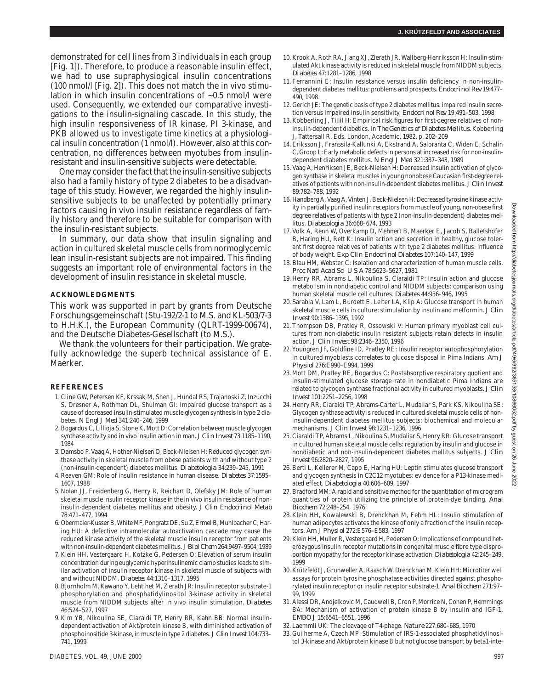demonstrated for cell lines from 3 individuals in each group [Fig. 1]). Therefore, to produce a reasonable insulin effect, we had to use supraphysiogical insulin concentrations (100 nmol/l [Fig. 2]). This does not match the in vivo stimulation in which insulin concentrations of ~0.5 nmol/l were used. Consequently, we extended our comparative investigations to the insulin-signaling cascade. In this study, the high insulin responsiveness of IR kinase, PI 3-kinase, and PKB allowed us to investigate time kinetics at a physiological insulin concentration (1 nmol/l). However, also at this concentration, no differences between myotubes from insulinresistant and insulin-sensitive subjects were detectable.

One may consider the fact that the insulin-sensitive subjects also had a family history of type 2 diabetes to be a disadvantage of this study. However, we regarded the highly insulinsensitive subjects to be unaffected by potentially primary factors causing in vivo insulin resistance regardless of family history and therefore to be suitable for comparison with the insulin-resistant subjects.

In summary, our data show that insulin signaling and action in cultured skeletal muscle cells from normoglycemic lean insulin-resistant subjects are not impaired. This finding suggests an important role of environmental factors in the development of insulin resistance in skeletal muscle.

## **ACKNOWLEDGMENTS**

This work was supported in part by grants from Deutsche Forschungsgemeinschaft (Stu-192/2-1 to M.S. and KL-503/7-3 to H.H.K.), the European Community (QLRT-1999-00674), and the Deutsche Diabetes-Gesellschaft (to M.S.).

We thank the volunteers for their participation. We gratefully acknowledge the superb technical assistance of E. Maerker.

## **REFERENCES**

- 1. Cline GW, Petersen KF, Krssak M, Shen J, Hundal RS, Trajanoski Z, Inzucchi S, Dresner A, Rothman DL, Shulman GI: Impaired glucose transport as a cause of decreased insulin-stimulated muscle glycogen synthesis in type 2 diabetes. *N Engl J Med* 341:240–246, 1999
- 2. Bogardus C, Lillioja S, Stone K, Mott D: Correlation between muscle glycogen synthase activity and in vivo insulin action in man. *J Clin Invest* 73:1185–1190, 1984
- 3. Damsbo P, Vaag A, Hother-Nielsen O, Beck-Nielsen H: Reduced glycogen synthase activity in skeletal muscle from obese patients with and without type 2 (non-insulin-dependent) diabetes mellitus. *Diabetologia* 34:239–245, 1991
- 4. Reaven GM: Role of insulin resistance in human disease. *Diabetes* 37:1595– 1607, 1988
- 5. Nolan JJ, Freidenberg G, Henry R, Reichart D, Olefsky JM: Role of human skeletal muscle insulin receptor kinase in the in vivo insulin resistance of noninsulin-dependent diabetes mellitus and obesity. *J Clin Endocrinol Metab* 78:471–477, 1994
- 6. Obermaier-Kusser B, White MF, Pongratz DE, Su Z, Ermel B, Muhlbacher C, Haring HU: A defective intramolecular autoactivation cascade may cause the reduced kinase activity of the skeletal muscle insulin receptor from patients with non-insulin-dependent diabetes mellitus. *J Biol Chem* 264:9497–9504, 1989
- 7. Klein HH, Vestergaard H, Kotzke G, Pedersen O: Elevation of serum insulin concentration during euglycemic hyperinsulinemic clamp studies leads to similar activation of insulin receptor kinase in skeletal muscle of subjects with and without NIDDM. *Diabetes* 44:1310–1317, 1995
- 8. Bjornholm M, Kawano Y, Lehtihet M, Zierath JR: Insulin receptor substrate-1 phosphorylation and phosphatidylinositol 3-kinase activity in skeletal muscle from NIDDM subjects after in vivo insulin stimulation. *Diabetes* 46:524–527, 1997
- 9. Kim YB, Nikoulina SE, Ciaraldi TP, Henry RR, Kahn BB: Normal insulindependent activation of Akt/protein kinase B, with diminished activation of phosphoinositide 3-kinase, in muscle in type 2 diabetes. *J Clin Invest* 104:733– 741, 1999
- 10. Krook A, Roth RA, Jiang XJ, Zierath JR, Wallberg-Henriksson H: Insulin-stimulated Akt kinase activity is reduced in skeletal muscle from NIDDM subjects. *Diabetes* 47:1281–1286, 1998
- 11. Ferrannini E: Insulin resistance versus insulin deficiency in non-insulindependent diabetes mellitus: problems and prospects. *Endocrinol Rev* 19:477– 490, 1998
- 12. Gerich JE: The genetic basis of type 2 diabetes mellitus: impaired insulin secretion versus impaired insulin sensitivity. *Endocrinol Rev* 19:491–503, 1998
- 13. Kobberling J, Tillil H: Empirical risk figures for first-degree relatives of noninsulin-dependent diabetics. In *The Genetics of Diabetes Mellitus*. Kobberling J, Tattersall R, Eds. London, Academic, 1982, p. 202–209
- 14. Eriksson J, Franssila-Kallunki A, Ekstrand A, Saloranta C, Widen E, Schalin C, Groop L: Early metabolic defects in persons at increased risk for non-insulindependent diabetes mellitus*. N Engl J Med* 321:337–343, 1989
- 15. Vaag A, Henriksen JE, Beck-Nielsen H: Decreased insulin activation of glycogen synthase in skeletal muscles in young nonobese Caucasian first-degree relatives of patients with non-insulin-dependent diabetes mellitus. *J Clin Invest* 89:782–788, 1992
- 16. Handberg A, Vaag A, Vinten J, Beck-Nielsen H: Decreased tyrosine kinase activity in partially purified insulin receptors from muscle of young, non-obese first degree relatives of patients with type 2 (non-insulin-dependent) diabetes mellitus. *Diabetologia* 36:668–674, 1993
- 17. Volk A, Renn W, Overkamp D, Mehnert B, Maerker E, Jacob S, Balletshofer B, Haring HU, Rett K: Insulin action and secretion in healthy, glucose tolerant first degree relatives of patients with type 2 diabetes mellitus: influence of body weight. *Exp Clin Endocrinol Diabetes* 107:140–147, 1999
- 18. Blau HM, Webster C: Isolation and characterization of human muscle cells. *Proc Natl Acad Sci U S A* 78:5623–5627, 1981
- 19. Henry RR, Abrams L, Nikoulina S, Ciaraldi TP: Insulin action and glucose metabolism in nondiabetic control and NIDDM subjects: comparison using human skeletal muscle cell cultures. *Diabetes* 44:936–946, 1995
- 20. Sarabia V, Lam L, Burdett E, Leiter LA, Klip A: Glucose transport in human skeletal muscle cells in culture: stimulation by insulin and metformin. *J Clin Invest* 90:1386–1395, 1992
- 21. Thompson DB, Pratley R, Ossowski V: Human primary myoblast cell cultures from non-diabetic insulin resistant subjects retain defects in insulin action. *J Clin Invest* 98:2346–2350, 1996
- 22. Youngren JF, Goldfine ID, Pratley RE: Insulin receptor autophosphorylation in cultured myoblasts correlates to glucose disposal in Pima Indians. *Am J Physiol* 276:E990–E994, 1999
- 23. Mott DM, Pratley RE, Bogardus C: Postabsorptive respiratory quotient and insulin-stimulated glucose storage rate in nondiabetic Pima Indians are related to glycogen synthase fractional activity in cultured myoblasts. *J Clin Invest* 101:2251–2256, 1998
- 24. Henry RR, Ciaraldi TP, Abrams-Carter L, Mudaliar S, Park KS, Nikoulina SE: Glycogen synthase activity is reduced in cultured skeletal muscle cells of noninsulin-dependent diabetes mellitus subjects: biochemical and molecular mechanisms. *J Clin Invest* 98:1231–1236, 1996
- 25. Ciaraldi TP, Abrams L, Nikoulina S, Mudaliar S, Henry RR: Glucose transport in cultured human skeletal muscle cells: regulation by insulin and glucose in nondiabetic and non-insulin-dependent diabetes mellitus subjects. *J Clin Invest* 96:2820–2827, 1995
- 26. Berti L, Kellerer M, Capp E, Haring HU: Leptin stimulates glucose transport and glycogen synthesis in C2C12 myotubes: evidence for a P13-kinase mediated effect. *Diabetologia* 40:606–609, 1997
- 27. Bradford MM: A rapid and sensitive method for the quantitation of microgram quantities of protein utilizing the principle of protein-dye binding. *Anal Biochem* 72:248–254, 1976
- 28. Klein HH, Kowalewski B, Drenckhan M, Fehm HL: Insulin stimulation of human adipocytes activates the kinase of only a fraction of the insulin receptors. *Am J Physiol* 272:E576–E583, 1997
- 29. Klein HH, Muller R, Vestergaard H, Pedersen O: Implications of compound heterozygous insulin receptor mutations in congenital muscle fibre type disproportion myopathy for the receptor kinase activation. *Diabetologia* 42:245–249, 1999
- 30. Krützfeldt J, Grunweller A, Raasch W, Drenckhan M, Klein HH: Microtiter well assays for protein tyrosine phosphatase activities directed against phosphorylated insulin receptor or insulin receptor substrate-1. *Anal Biochem* 271:97– 99, 1999
- 31. Alessi DR, Andjelkovic M, Caudwell B, Cron P, Morrice N, Cohen P, Hemmings BA: Mechanism of activation of protein kinase B by insulin and IGF-1. *EMBO J* 15:6541–6551, 1996
- 32. Laemmli UK: The cleavage of T4-phage. *Nature* 227:680–685, 1970
- 33. Guilherme A, Czech MP: Stimulation of IRS-1-associated phosphatidylinositol 3-kinase and Akt/protein kinase B but not glucose transport by beta1-inte-